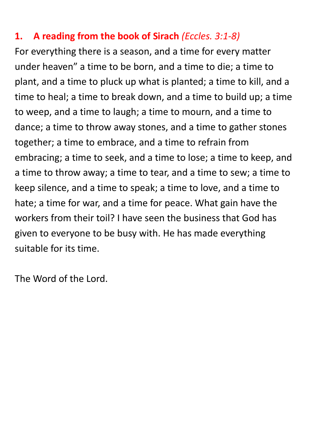#### **1. A reading from the book of Sirach** *(Eccles. 3:1-8)*

For everything there is a season, and a time for every matter under heaven" a time to be born, and a time to die; a time to plant, and a time to pluck up what is planted; a time to kill, and a time to heal; a time to break down, and a time to build up; a time to weep, and a time to laugh; a time to mourn, and a time to dance; a time to throw away stones, and a time to gather stones together; a time to embrace, and a time to refrain from embracing; a time to seek, and a time to lose; a time to keep, and a time to throw away; a time to tear, and a time to sew; a time to keep silence, and a time to speak; a time to love, and a time to hate; a time for war, and a time for peace. What gain have the workers from their toil? I have seen the business that God has given to everyone to be busy with. He has made everything suitable for its time.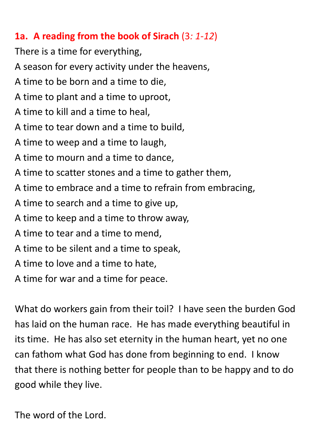#### **1a. A reading from the book of Sirach** (3*: 1-12*)

There is a time for everything, A season for every activity under the heavens, A time to be born and a time to die, A time to plant and a time to uproot, A time to kill and a time to heal, A time to tear down and a time to build, A time to weep and a time to laugh, A time to mourn and a time to dance, A time to scatter stones and a time to gather them,

- A time to embrace and a time to refrain from embracing,
- A time to search and a time to give up,
- A time to keep and a time to throw away,
- A time to tear and a time to mend,
- A time to be silent and a time to speak,
- A time to love and a time to hate,
- A time for war and a time for peace.

What do workers gain from their toil? I have seen the burden God has laid on the human race. He has made everything beautiful in its time. He has also set eternity in the human heart, yet no one can fathom what God has done from beginning to end. I know that there is nothing better for people than to be happy and to do good while they live.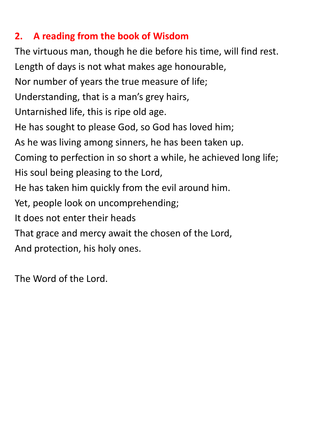### **2. A reading from the book of Wisdom**

The virtuous man, though he die before his time, will find rest. Length of days is not what makes age honourable, Nor number of years the true measure of life; Understanding, that is a man's grey hairs, Untarnished life, this is ripe old age. He has sought to please God, so God has loved him; As he was living among sinners, he has been taken up. Coming to perfection in so short a while, he achieved long life; His soul being pleasing to the Lord, He has taken him quickly from the evil around him. Yet, people look on uncomprehending; It does not enter their heads That grace and mercy await the chosen of the Lord, And protection, his holy ones.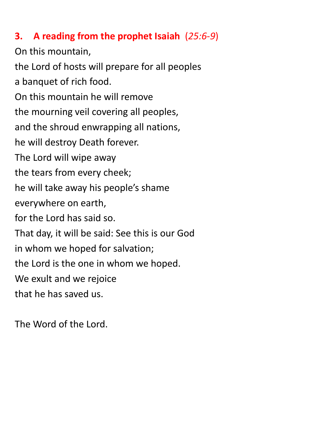#### **3. A reading from the prophet Isaiah** (*25:6-9*)

On this mountain, the Lord of hosts will prepare for all peoples a banquet of rich food. On this mountain he will remove the mourning veil covering all peoples, and the shroud enwrapping all nations, he will destroy Death forever. The Lord will wipe away the tears from every cheek; he will take away his people's shame everywhere on earth, for the Lord has said so. That day, it will be said: See this is our God in whom we hoped for salvation; the Lord is the one in whom we hoped. We exult and we rejoice that he has saved us.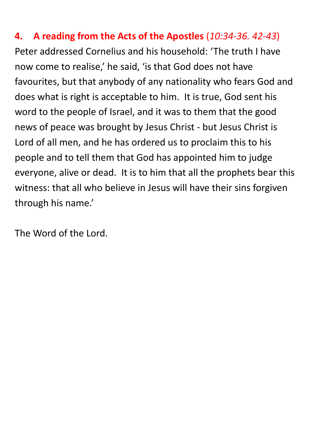**4. A reading from the Acts of the Apostles** (*10:34-36. 42-43*) Peter addressed Cornelius and his household: 'The truth I have now come to realise,' he said, 'is that God does not have favourites, but that anybody of any nationality who fears God and does what is right is acceptable to him. It is true, God sent his word to the people of Israel, and it was to them that the good news of peace was brought by Jesus Christ - but Jesus Christ is Lord of all men, and he has ordered us to proclaim this to his people and to tell them that God has appointed him to judge everyone, alive or dead. It is to him that all the prophets bear this witness: that all who believe in Jesus will have their sins forgiven through his name.'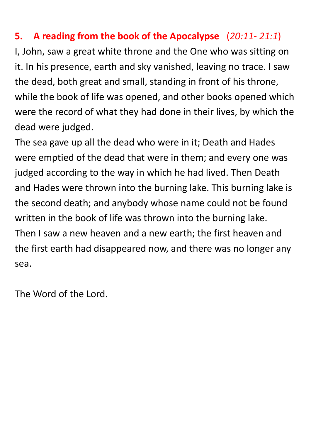### **5. A reading from the book of the Apocalypse** (*20:11- 21:1*)

I, John, saw a great white throne and the One who was sitting on it. In his presence, earth and sky vanished, leaving no trace. I saw the dead, both great and small, standing in front of his throne, while the book of life was opened, and other books opened which were the record of what they had done in their lives, by which the dead were judged.

The sea gave up all the dead who were in it; Death and Hades were emptied of the dead that were in them; and every one was judged according to the way in which he had lived. Then Death and Hades were thrown into the burning lake. This burning lake is the second death; and anybody whose name could not be found written in the book of life was thrown into the burning lake. Then I saw a new heaven and a new earth; the first heaven and the first earth had disappeared now, and there was no longer any sea.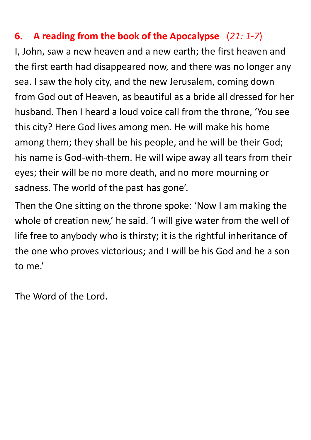### **6. A reading from the book of the Apocalypse** (*21: 1-7*)

I, John, saw a new heaven and a new earth; the first heaven and the first earth had disappeared now, and there was no longer any sea. I saw the holy city, and the new Jerusalem, coming down from God out of Heaven, as beautiful as a bride all dressed for her husband. Then I heard a loud voice call from the throne, 'You see this city? Here God lives among men. He will make his home among them; they shall be his people, and he will be their God; his name is God-with-them. He will wipe away all tears from their eyes; their will be no more death, and no more mourning or sadness. The world of the past has gone'.

Then the One sitting on the throne spoke: 'Now I am making the whole of creation new,' he said. 'I will give water from the well of life free to anybody who is thirsty; it is the rightful inheritance of the one who proves victorious; and I will be his God and he a son to me.'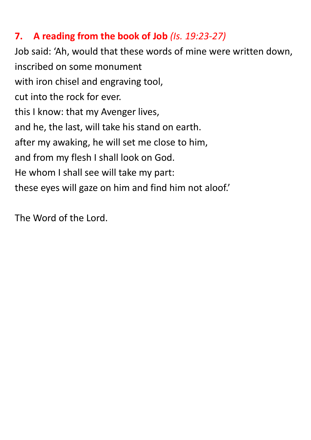#### **7. A reading from the book of Job** *(Is. 19:23-27)*

Job said: 'Ah, would that these words of mine were written down, inscribed on some monument with iron chisel and engraving tool, cut into the rock for ever. this I know: that my Avenger lives, and he, the last, will take his stand on earth. after my awaking, he will set me close to him, and from my flesh I shall look on God. He whom I shall see will take my part: these eyes will gaze on him and find him not aloof.'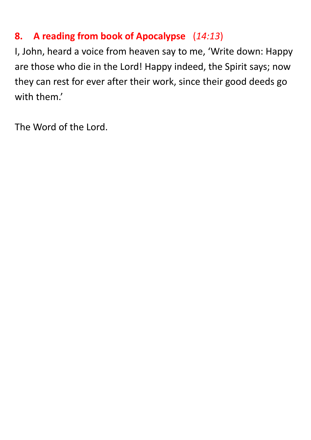### **8. A reading from book of Apocalypse** (*14:13*)

I, John, heard a voice from heaven say to me, 'Write down: Happy are those who die in the Lord! Happy indeed, the Spirit says; now they can rest for ever after their work, since their good deeds go with them.'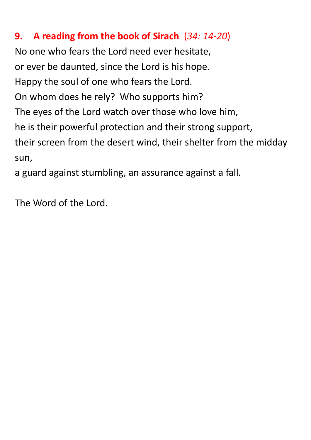### **9. A reading from the book of Sirach** (*34: 14-20*)

No one who fears the Lord need ever hesitate, or ever be daunted, since the Lord is his hope. Happy the soul of one who fears the Lord. On whom does he rely? Who supports him? The eyes of the Lord watch over those who love him, he is their powerful protection and their strong support, their screen from the desert wind, their shelter from the midday sun,

a guard against stumbling, an assurance against a fall.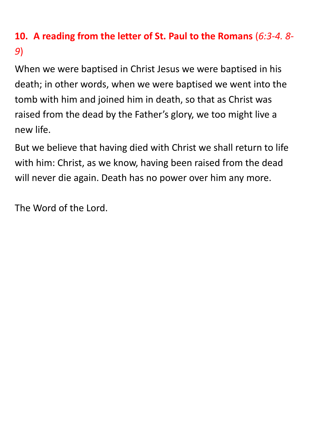## **10. A reading from the letter of St. Paul to the Romans** (*6:3-4. 8- 9*)

When we were baptised in Christ Jesus we were baptised in his death; in other words, when we were baptised we went into the tomb with him and joined him in death, so that as Christ was raised from the dead by the Father's glory, we too might live a new life.

But we believe that having died with Christ we shall return to life with him: Christ, as we know, having been raised from the dead will never die again. Death has no power over him any more.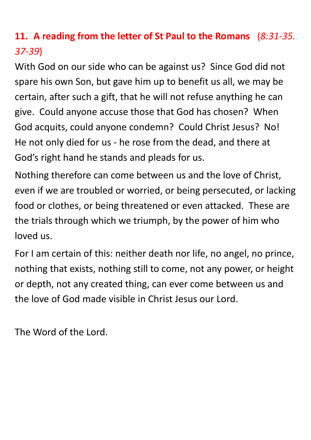## **11. A reading from the letter of St Paul to the Romans** (*8:31-35. 37-39*)

With God on our side who can be against us? Since God did not spare his own Son, but gave him up to benefit us all, we may be certain, after such a gift, that he will not refuse anything he can give. Could anyone accuse those that God has chosen? When God acquits, could anyone condemn? Could Christ Jesus? No! He not only died for us - he rose from the dead, and there at God's right hand he stands and pleads for us.

Nothing therefore can come between us and the love of Christ, even if we are troubled or worried, or being persecuted, or lacking food or clothes, or being threatened or even attacked. These are the trials through which we triumph, by the power of him who loved us.

For I am certain of this: neither death nor life, no angel, no prince, nothing that exists, nothing still to come, not any power, or height or depth, not any created thing, can ever come between us and the love of God made visible in Christ Jesus our Lord.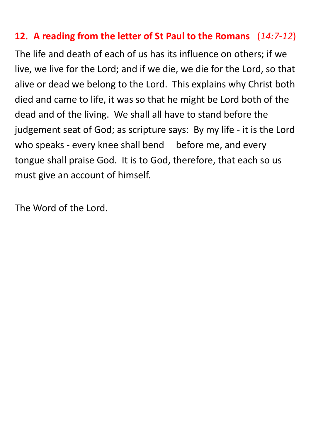#### **12. A reading from the letter of St Paul to the Romans** (*14:7-12*)

The life and death of each of us has its influence on others; if we live, we live for the Lord; and if we die, we die for the Lord, so that alive or dead we belong to the Lord. This explains why Christ both died and came to life, it was so that he might be Lord both of the dead and of the living. We shall all have to stand before the judgement seat of God; as scripture says: By my life - it is the Lord who speaks - every knee shall bend before me, and every tongue shall praise God. It is to God, therefore, that each so us must give an account of himself.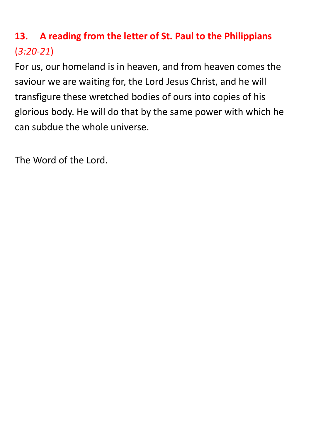# **13. A reading from the letter of St. Paul to the Philippians** (*3:20-21*)

For us, our homeland is in heaven, and from heaven comes the saviour we are waiting for, the Lord Jesus Christ, and he will transfigure these wretched bodies of ours into copies of his glorious body. He will do that by the same power with which he can subdue the whole universe.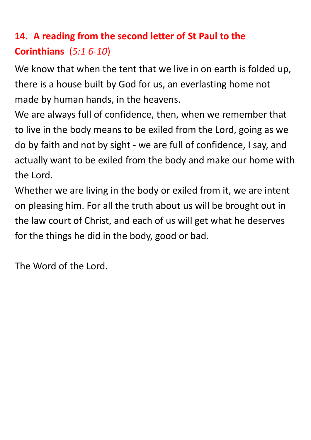# **14. A reading from the second letter of St Paul to the Corinthians** (*5:1 6-10*)

We know that when the tent that we live in on earth is folded up, there is a house built by God for us, an everlasting home not made by human hands, in the heavens.

We are always full of confidence, then, when we remember that to live in the body means to be exiled from the Lord, going as we do by faith and not by sight - we are full of confidence, I say, and actually want to be exiled from the body and make our home with the Lord.

Whether we are living in the body or exiled from it, we are intent on pleasing him. For all the truth about us will be brought out in the law court of Christ, and each of us will get what he deserves for the things he did in the body, good or bad.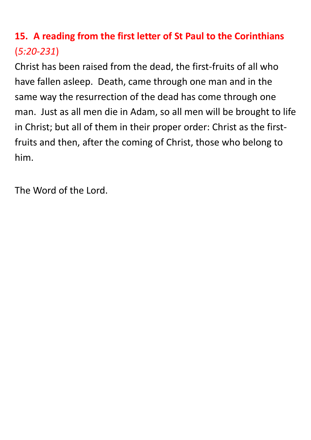## **15. A reading from the first letter of St Paul to the Corinthians** (*5:20-231*)

Christ has been raised from the dead, the first-fruits of all who have fallen asleep. Death, came through one man and in the same way the resurrection of the dead has come through one man. Just as all men die in Adam, so all men will be brought to life in Christ; but all of them in their proper order: Christ as the firstfruits and then, after the coming of Christ, those who belong to him.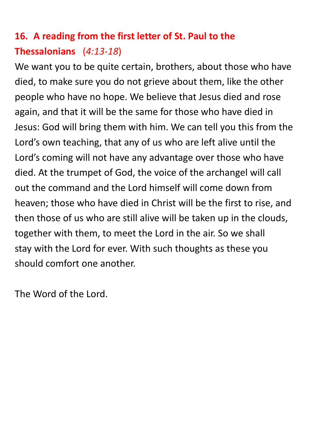# **16. A reading from the first letter of St. Paul to the Thessalonians** (*4:13-18*)

We want you to be quite certain, brothers, about those who have died, to make sure you do not grieve about them, like the other people who have no hope. We believe that Jesus died and rose again, and that it will be the same for those who have died in Jesus: God will bring them with him. We can tell you this from the Lord's own teaching, that any of us who are left alive until the Lord's coming will not have any advantage over those who have died. At the trumpet of God, the voice of the archangel will call out the command and the Lord himself will come down from heaven; those who have died in Christ will be the first to rise, and then those of us who are still alive will be taken up in the clouds, together with them, to meet the Lord in the air. So we shall stay with the Lord for ever. With such thoughts as these you should comfort one another.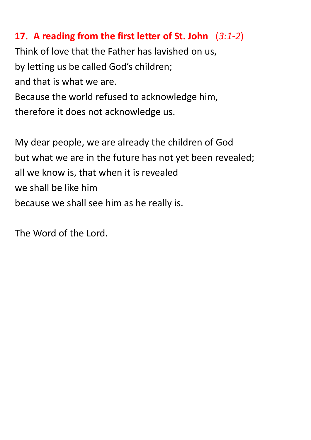### **17. A reading from the first letter of St. John** (*3:1-2*)

Think of love that the Father has lavished on us, by letting us be called God's children; and that is what we are. Because the world refused to acknowledge him, therefore it does not acknowledge us.

My dear people, we are already the children of God but what we are in the future has not yet been revealed; all we know is, that when it is revealed we shall be like him because we shall see him as he really is.